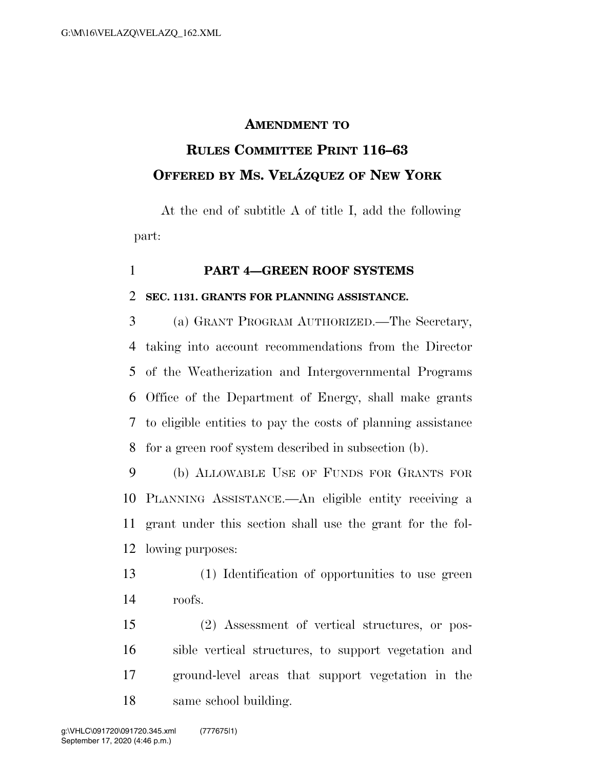### **AMENDMENT TO**

# **RULES COMMITTEE PRINT 116–63 OFFERED BY MS. VELA´ ZQUEZ OF NEW YORK**

At the end of subtitle A of title I, add the following part:

#### **PART 4—GREEN ROOF SYSTEMS**

### **SEC. 1131. GRANTS FOR PLANNING ASSISTANCE.**

 (a) GRANT PROGRAM AUTHORIZED.—The Secretary, taking into account recommendations from the Director of the Weatherization and Intergovernmental Programs Office of the Department of Energy, shall make grants to eligible entities to pay the costs of planning assistance for a green roof system described in subsection (b).

 (b) ALLOWABLE USE OF FUNDS FOR GRANTS FOR PLANNING ASSISTANCE.—An eligible entity receiving a grant under this section shall use the grant for the fol-lowing purposes:

 (1) Identification of opportunities to use green roofs.

 (2) Assessment of vertical structures, or pos- sible vertical structures, to support vegetation and ground-level areas that support vegetation in the same school building.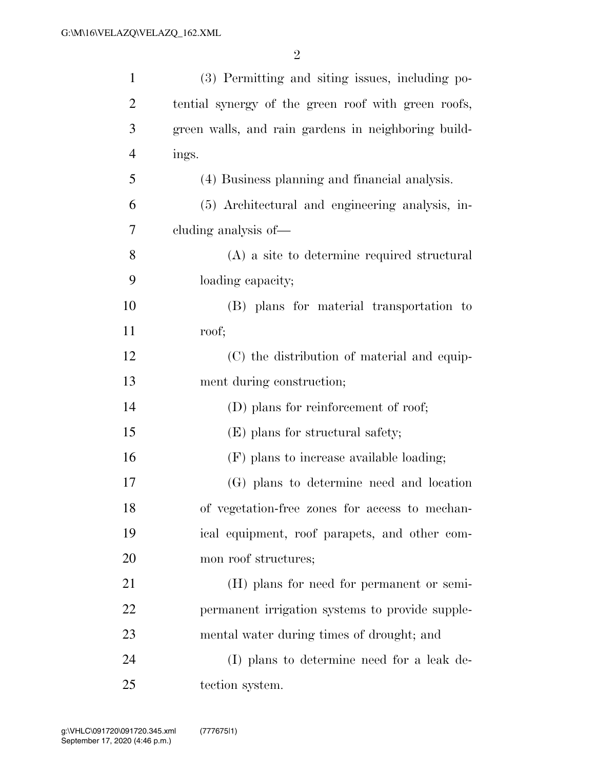| $\mathbf{1}$   | (3) Permitting and siting issues, including po-     |  |  |  |
|----------------|-----------------------------------------------------|--|--|--|
| $\overline{2}$ | tential synergy of the green roof with green roofs, |  |  |  |
| 3              | green walls, and rain gardens in neighboring build- |  |  |  |
| $\overline{4}$ | ings.                                               |  |  |  |
| 5              | (4) Business planning and financial analysis.       |  |  |  |
| 6              | (5) Architectural and engineering analysis, in-     |  |  |  |
| 7              | cluding analysis of-                                |  |  |  |
| 8              | (A) a site to determine required structural         |  |  |  |
| 9              | loading capacity;                                   |  |  |  |
| 10             | (B) plans for material transportation to            |  |  |  |
| 11             | roof;                                               |  |  |  |
| 12             | (C) the distribution of material and equip-         |  |  |  |
| 13             | ment during construction;                           |  |  |  |
| 14             | (D) plans for reinforcement of roof;                |  |  |  |
| 15             | (E) plans for structural safety;                    |  |  |  |
| 16             | (F) plans to increase available loading;            |  |  |  |
| 17             | (G) plans to determine need and location            |  |  |  |
| 18             | of vegetation-free zones for access to mechan-      |  |  |  |
| 19             | ical equipment, roof parapets, and other com-       |  |  |  |
| 20             | mon roof structures;                                |  |  |  |
| 21             | (H) plans for need for permanent or semi-           |  |  |  |
| 22             | permanent irrigation systems to provide supple-     |  |  |  |
| 23             | mental water during times of drought; and           |  |  |  |
| 24             | (I) plans to determine need for a leak de-          |  |  |  |
| 25             | tection system.                                     |  |  |  |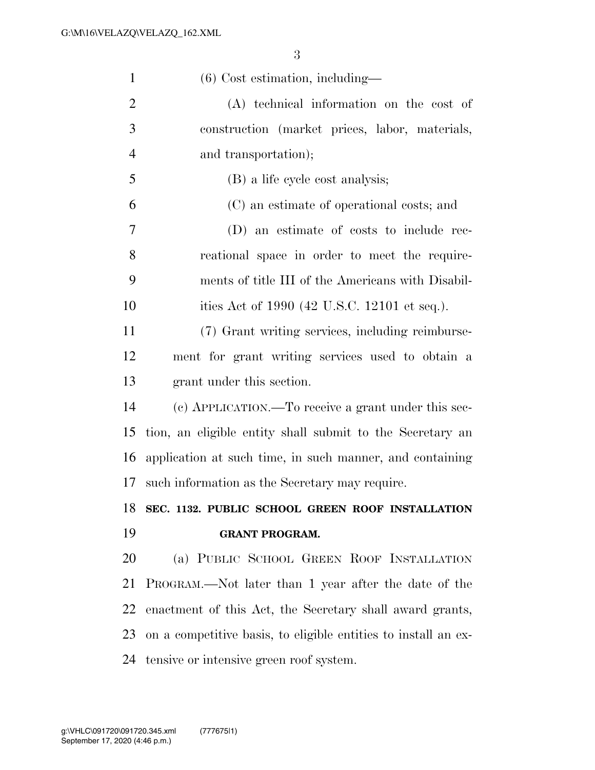| $\mathbf{1}$   | $(6)$ Cost estimation, including-                              |  |  |  |
|----------------|----------------------------------------------------------------|--|--|--|
| $\overline{2}$ | $(A)$ technical information on the cost of                     |  |  |  |
| 3              | construction (market prices, labor, materials,                 |  |  |  |
| $\overline{4}$ | and transportation);                                           |  |  |  |
| 5              | (B) a life cycle cost analysis;                                |  |  |  |
| 6              | (C) an estimate of operational costs; and                      |  |  |  |
| 7              | (D) an estimate of costs to include rec-                       |  |  |  |
| 8              | reational space in order to meet the require-                  |  |  |  |
| 9              | ments of title III of the Americans with Disabil-              |  |  |  |
| 10             | ities Act of 1990 (42 U.S.C. 12101 et seq.).                   |  |  |  |
| 11             | (7) Grant writing services, including reimburse-               |  |  |  |
| 12             | ment for grant writing services used to obtain a               |  |  |  |
| 13             | grant under this section.                                      |  |  |  |
| 14             | (c) APPLICATION.—To receive a grant under this sec-            |  |  |  |
|                | tion, an eligible entity shall submit to the Secretary an      |  |  |  |
| 15             |                                                                |  |  |  |
| 16             | application at such time, in such manner, and containing       |  |  |  |
| 17             | such information as the Secretary may require.                 |  |  |  |
| 18             | SEC. 1132. PUBLIC SCHOOL GREEN ROOF INSTALLATION               |  |  |  |
| 19             | <b>GRANT PROGRAM.</b>                                          |  |  |  |
| 20             | (a) PUBLIC SCHOOL GREEN ROOF INSTALLATION                      |  |  |  |
| 21             | PROGRAM.—Not later than 1 year after the date of the           |  |  |  |
| 22             | enactment of this Act, the Secretary shall award grants,       |  |  |  |
| 23             | on a competitive basis, to eligible entities to install an ex- |  |  |  |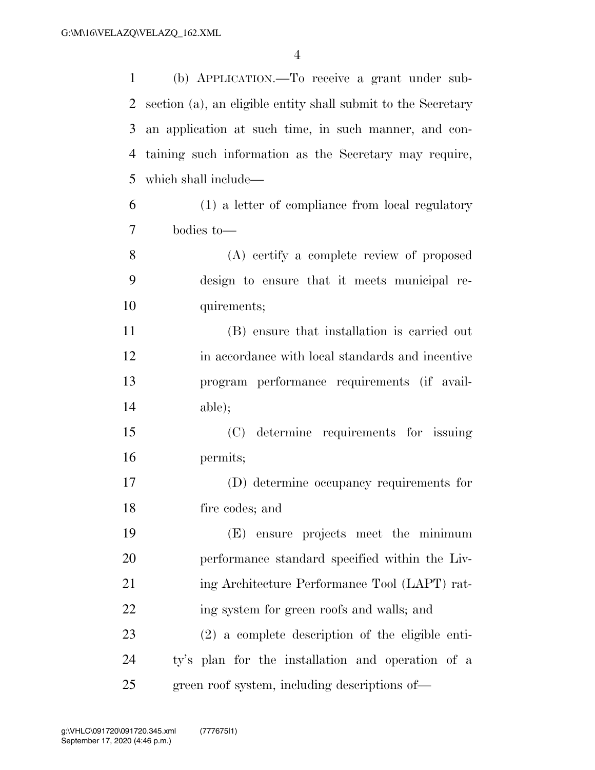(b) APPLICATION.—To receive a grant under sub- section (a), an eligible entity shall submit to the Secretary an application at such time, in such manner, and con- taining such information as the Secretary may require, which shall include— (1) a letter of compliance from local regulatory bodies to— (A) certify a complete review of proposed design to ensure that it meets municipal re- quirements; (B) ensure that installation is carried out in accordance with local standards and incentive program performance requirements (if avail- able); (C) determine requirements for issuing permits; (D) determine occupancy requirements for fire codes; and (E) ensure projects meet the minimum performance standard specified within the Liv-21 ing Architecture Performance Tool (LAPT) rat- ing system for green roofs and walls; and (2) a complete description of the eligible enti- ty's plan for the installation and operation of a green roof system, including descriptions of—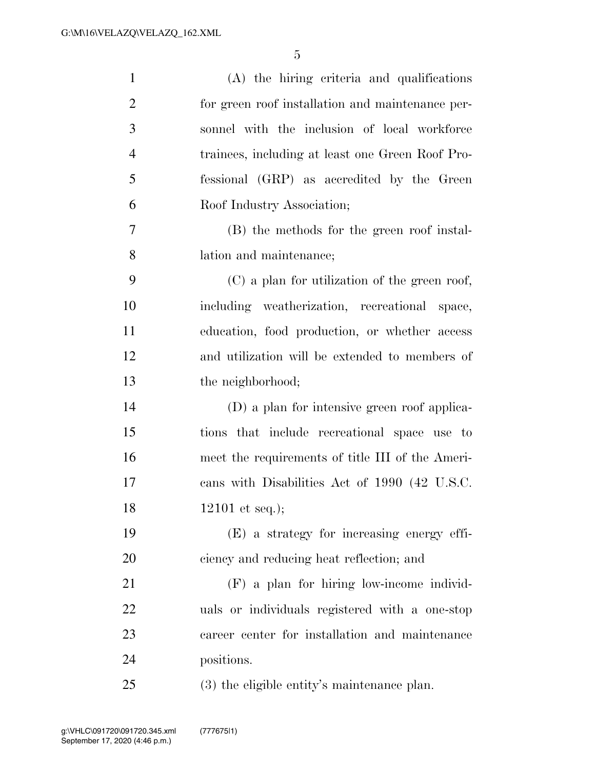| $\mathbf{1}$   | (A) the hiring criteria and qualifications       |
|----------------|--------------------------------------------------|
| $\overline{2}$ | for green roof installation and maintenance per- |
| 3              | sonnel with the inclusion of local workforce     |
| $\overline{4}$ | trainees, including at least one Green Roof Pro- |
| 5              | fessional (GRP) as accredited by the Green       |
| 6              | Roof Industry Association;                       |
| $\overline{7}$ | (B) the methods for the green roof instal-       |
| 8              | lation and maintenance;                          |
| 9              | (C) a plan for utilization of the green roof,    |
| 10             | including weatherization, recreational space,    |
| 11             | education, food production, or whether access    |
| 12             | and utilization will be extended to members of   |
| 13             | the neighborhood;                                |
| 14             | (D) a plan for intensive green roof applica-     |
| 15             | tions that include recreational space use to     |
| 16             | meet the requirements of title III of the Ameri- |
| 17             | cans with Disabilities Act of 1990 (42 U.S.C.    |
| 18             | 12101 et seq.);                                  |
| 19             | (E) a strategy for increasing energy effi-       |
| 20             | ciency and reducing heat reflection; and         |
| 21             | $(F)$ a plan for hiring low-income individ-      |
| 22             | uals or individuals registered with a one-stop   |
| 23             | career center for installation and maintenance   |
| 24             | positions.                                       |
| 25             | (3) the eligible entity's maintenance plan.      |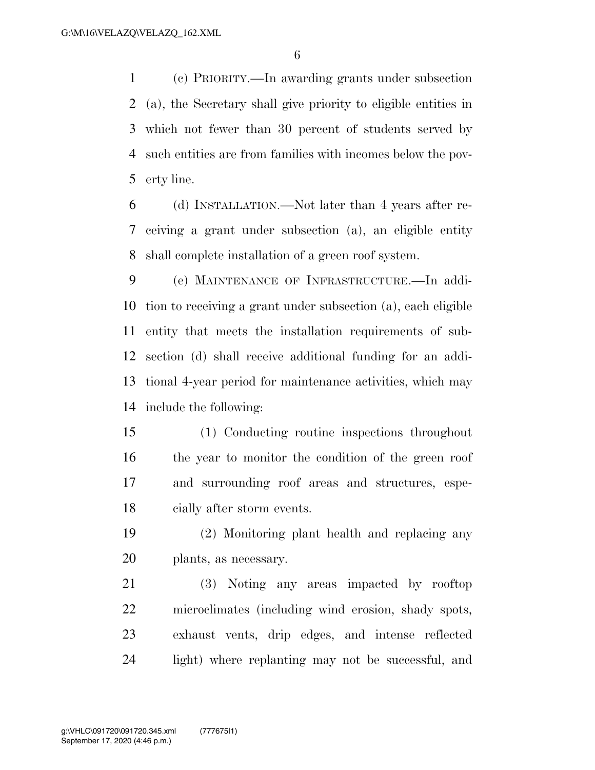(c) PRIORITY.—In awarding grants under subsection (a), the Secretary shall give priority to eligible entities in which not fewer than 30 percent of students served by such entities are from families with incomes below the pov-erty line.

 (d) INSTALLATION.—Not later than 4 years after re- ceiving a grant under subsection (a), an eligible entity shall complete installation of a green roof system.

 (e) MAINTENANCE OF INFRASTRUCTURE.—In addi- tion to receiving a grant under subsection (a), each eligible entity that meets the installation requirements of sub- section (d) shall receive additional funding for an addi- tional 4-year period for maintenance activities, which may include the following:

 (1) Conducting routine inspections throughout the year to monitor the condition of the green roof and surrounding roof areas and structures, espe-cially after storm events.

 (2) Monitoring plant health and replacing any plants, as necessary.

 (3) Noting any areas impacted by rooftop microclimates (including wind erosion, shady spots, exhaust vents, drip edges, and intense reflected light) where replanting may not be successful, and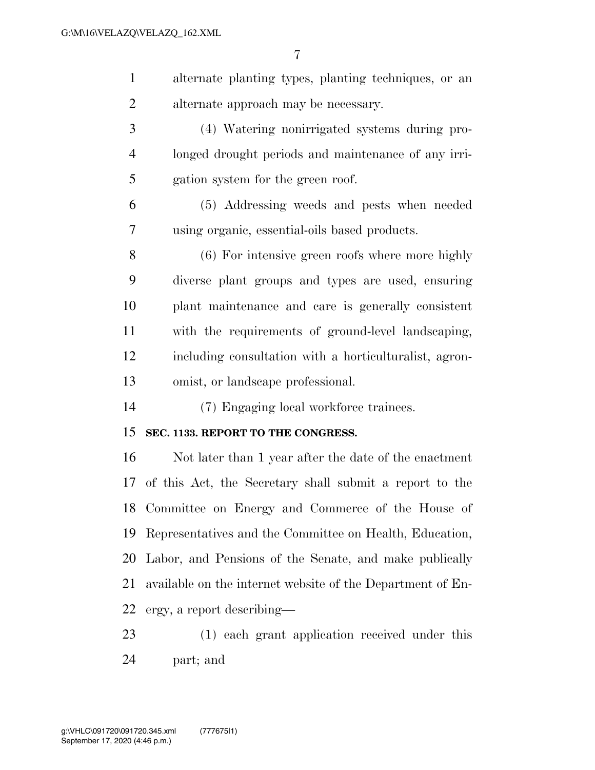alternate planting types, planting techniques, or an alternate approach may be necessary.

 (4) Watering nonirrigated systems during pro- longed drought periods and maintenance of any irri-gation system for the green roof.

 (5) Addressing weeds and pests when needed using organic, essential-oils based products.

 (6) For intensive green roofs where more highly diverse plant groups and types are used, ensuring plant maintenance and care is generally consistent with the requirements of ground-level landscaping, including consultation with a horticulturalist, agron-omist, or landscape professional.

(7) Engaging local workforce trainees.

### **SEC. 1133. REPORT TO THE CONGRESS.**

 Not later than 1 year after the date of the enactment of this Act, the Secretary shall submit a report to the Committee on Energy and Commerce of the House of Representatives and the Committee on Health, Education, Labor, and Pensions of the Senate, and make publically available on the internet website of the Department of En-ergy, a report describing—

 (1) each grant application received under this part; and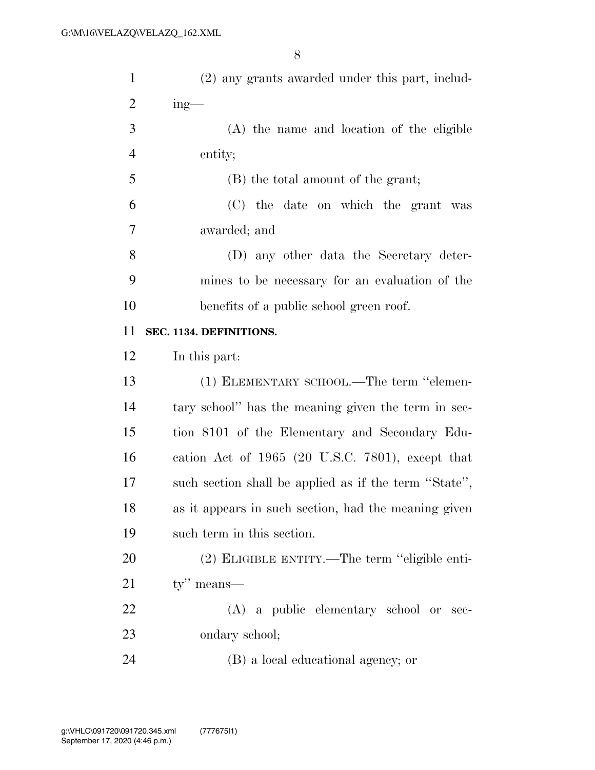| $\mathbf{1}$   | (2) any grants awarded under this part, includ-       |  |  |  |  |
|----------------|-------------------------------------------------------|--|--|--|--|
| $\overline{2}$ | $ing$ —                                               |  |  |  |  |
| 3              | (A) the name and location of the eligible             |  |  |  |  |
| $\overline{4}$ | entity;                                               |  |  |  |  |
| 5              | (B) the total amount of the grant;                    |  |  |  |  |
| 6              | (C) the date on which the grant was                   |  |  |  |  |
| 7              | awarded; and                                          |  |  |  |  |
| 8              | (D) any other data the Secretary deter-               |  |  |  |  |
| 9              | mines to be necessary for an evaluation of the        |  |  |  |  |
| 10             | benefits of a public school green roof.               |  |  |  |  |
| 11             | SEC. 1134. DEFINITIONS.                               |  |  |  |  |
| 12             | In this part:                                         |  |  |  |  |
| 13             | (1) ELEMENTARY SCHOOL.—The term "elemen-              |  |  |  |  |
| 14             | tary school" has the meaning given the term in sec-   |  |  |  |  |
| 15             | tion 8101 of the Elementary and Secondary Edu-        |  |  |  |  |
| 16             |                                                       |  |  |  |  |
|                | cation Act of $1965$ (20 U.S.C. 7801), except that    |  |  |  |  |
| 17             | such section shall be applied as if the term "State", |  |  |  |  |
| 18             | as it appears in such section, had the meaning given  |  |  |  |  |
| 19             | such term in this section.                            |  |  |  |  |
| 20             | (2) ELIGIBLE ENTITY.—The term "eligible enti-         |  |  |  |  |
| 21             | $ty"$ means—                                          |  |  |  |  |
| 22             | (A) a public elementary school or sec-                |  |  |  |  |
| 23             | ondary school;                                        |  |  |  |  |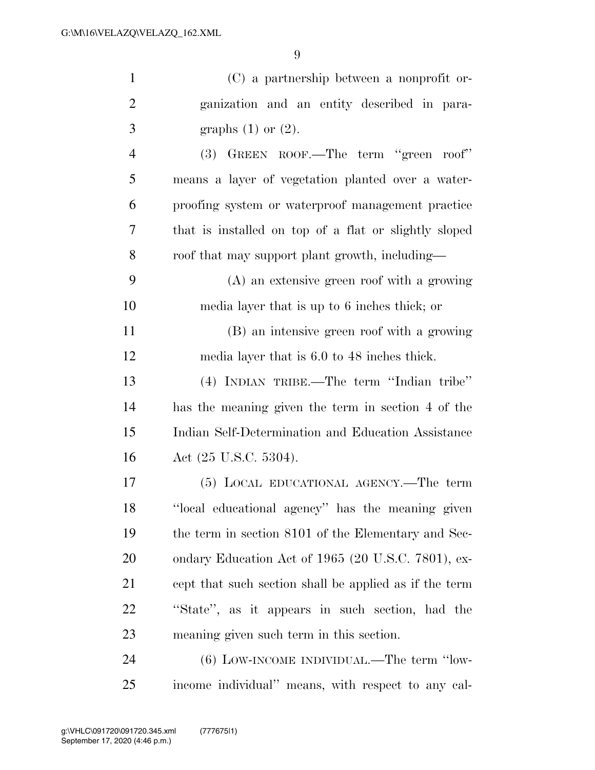| $\mathbf{1}$   | (C) a partnership between a nonprofit or-              |  |  |  |
|----------------|--------------------------------------------------------|--|--|--|
| $\overline{c}$ | ganization and an entity described in para-            |  |  |  |
| 3              | graphs $(1)$ or $(2)$ .                                |  |  |  |
| 4              | $(3)$ GREEN ROOF.—The term "green roof"                |  |  |  |
| 5              | means a layer of vegetation planted over a water-      |  |  |  |
| 6              | proofing system or waterproof management practice      |  |  |  |
| 7              | that is installed on top of a flat or slightly sloped  |  |  |  |
| 8              | roof that may support plant growth, including—         |  |  |  |
| 9              | (A) an extensive green roof with a growing             |  |  |  |
| 10             | media layer that is up to 6 inches thick; or           |  |  |  |
| 11             | (B) an intensive green roof with a growing             |  |  |  |
| 12             | media layer that is 6.0 to 48 inches thick.            |  |  |  |
| 13             | (4) INDIAN TRIBE.—The term "Indian tribe"              |  |  |  |
| 14             | has the meaning given the term in section 4 of the     |  |  |  |
| 15             | Indian Self-Determination and Education Assistance     |  |  |  |
| 16             | Act (25 U.S.C. 5304).                                  |  |  |  |
| 17             | (5) LOCAL EDUCATIONAL AGENCY.—The term                 |  |  |  |
| 18             | "local educational agency" has the meaning given       |  |  |  |
| 19             | the term in section 8101 of the Elementary and Sec-    |  |  |  |
| 20             | ondary Education Act of 1965 (20 U.S.C. 7801), ex-     |  |  |  |
| 21             | cept that such section shall be applied as if the term |  |  |  |
| 22             | "State", as it appears in such section, had the        |  |  |  |
| 23             | meaning given such term in this section.               |  |  |  |
| 24             | $(6)$ LOW-INCOME INDIVIDUAL.—The term "low-            |  |  |  |
| 25             | income individual" means, with respect to any cal-     |  |  |  |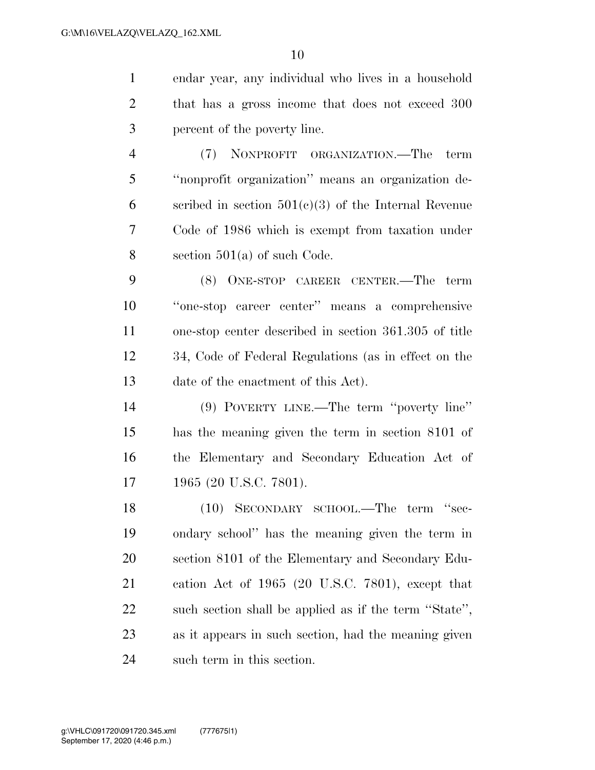endar year, any individual who lives in a household that has a gross income that does not exceed 300 percent of the poverty line.

 (7) NONPROFIT ORGANIZATION.—The term ''nonprofit organization'' means an organization de-6 scribed in section  $501(e)(3)$  of the Internal Revenue Code of 1986 which is exempt from taxation under section 501(a) of such Code.

 (8) ONE-STOP CAREER CENTER.—The term ''one-stop career center'' means a comprehensive one-stop center described in section 361.305 of title 34, Code of Federal Regulations (as in effect on the date of the enactment of this Act).

 (9) POVERTY LINE.—The term ''poverty line'' has the meaning given the term in section 8101 of the Elementary and Secondary Education Act of 1965 (20 U.S.C. 7801).

18 (10) SECONDARY SCHOOL.—The term "sec- ondary school'' has the meaning given the term in section 8101 of the Elementary and Secondary Edu- cation Act of 1965 (20 U.S.C. 7801), except that such section shall be applied as if the term ''State'', as it appears in such section, had the meaning given such term in this section.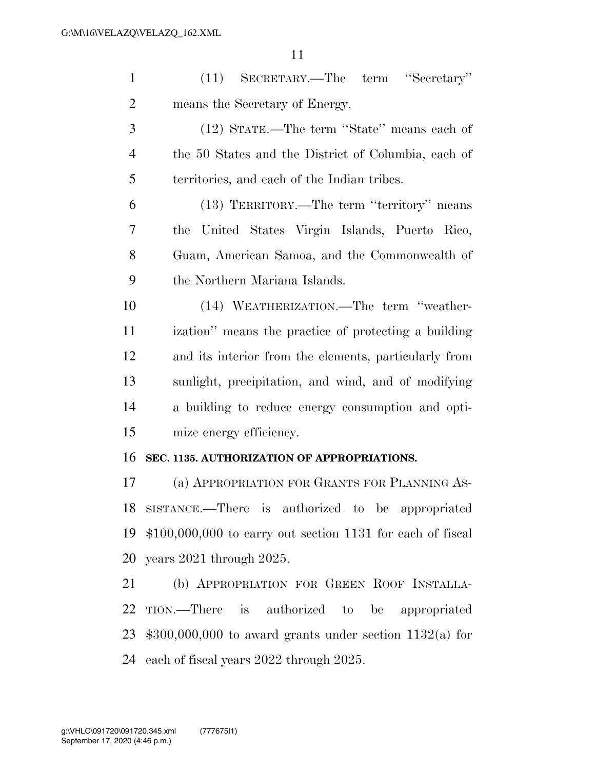| $(11)$ SECRETARY.—The term "Secretary" |  |
|----------------------------------------|--|
| means the Secretary of Energy.         |  |

 (12) STATE.—The term ''State'' means each of the 50 States and the District of Columbia, each of territories, and each of the Indian tribes.

 (13) TERRITORY.—The term ''territory'' means the United States Virgin Islands, Puerto Rico, Guam, American Samoa, and the Commonwealth of the Northern Mariana Islands.

 (14) WEATHERIZATION.—The term ''weather- ization'' means the practice of protecting a building and its interior from the elements, particularly from sunlight, precipitation, and wind, and of modifying a building to reduce energy consumption and opti-mize energy efficiency.

#### **SEC. 1135. AUTHORIZATION OF APPROPRIATIONS.**

 (a) APPROPRIATION FOR GRANTS FOR PLANNING AS- SISTANCE.—There is authorized to be appropriated \$100,000,000 to carry out section 1131 for each of fiscal years 2021 through 2025.

 (b) APPROPRIATION FOR GREEN ROOF INSTALLA- TION.—There is authorized to be appropriated \$300,000,000 to award grants under section 1132(a) for each of fiscal years 2022 through 2025.